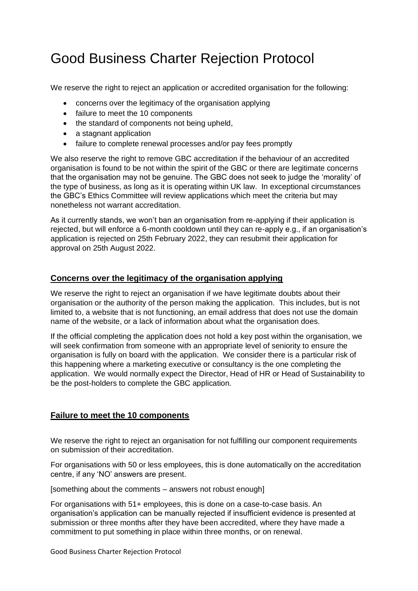# Good Business Charter Rejection Protocol

We reserve the right to reject an application or accredited organisation for the following:

- concerns over the legitimacy of the organisation applying
- failure to meet the 10 components
- the standard of components not being upheld.
- a stagnant application
- failure to complete renewal processes and/or pay fees promptly

We also reserve the right to remove GBC accreditation if the behaviour of an accredited organisation is found to be not within the spirit of the GBC or there are legitimate concerns that the organisation may not be genuine. The GBC does not seek to judge the 'morality' of the type of business, as long as it is operating within UK law. In exceptional circumstances the GBC's Ethics Committee will review applications which meet the criteria but may nonetheless not warrant accreditation.

As it currently stands, we won't ban an organisation from re-applying if their application is rejected, but will enforce a 6-month cooldown until they can re-apply e.g., if an organisation's application is rejected on 25th February 2022, they can resubmit their application for approval on 25th August 2022.

### **Concerns over the legitimacy of the organisation applying**

We reserve the right to reject an organisation if we have legitimate doubts about their organisation or the authority of the person making the application. This includes, but is not limited to, a website that is not functioning, an email address that does not use the domain name of the website, or a lack of information about what the organisation does.

If the official completing the application does not hold a key post within the organisation, we will seek confirmation from someone with an appropriate level of seniority to ensure the organisation is fully on board with the application. We consider there is a particular risk of this happening where a marketing executive or consultancy is the one completing the application. We would normally expect the Director, Head of HR or Head of Sustainability to be the post-holders to complete the GBC application.

### **Failure to meet the 10 components**

We reserve the right to reject an organisation for not fulfilling our component requirements on submission of their accreditation.

For organisations with 50 or less employees, this is done automatically on the accreditation centre, if any 'NO' answers are present.

[something about the comments – answers not robust enough]

For organisations with 51+ employees, this is done on a case-to-case basis. An organisation's application can be manually rejected if insufficient evidence is presented at submission or three months after they have been accredited, where they have made a commitment to put something in place within three months, or on renewal.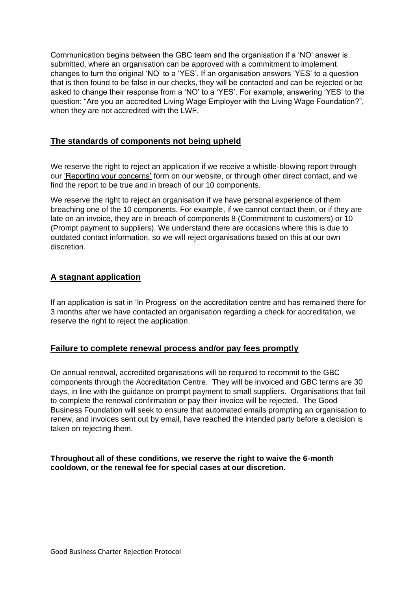Communication begins between the GBC team and the organisation if a 'NO' answer is submitted, where an organisation can be approved with a commitment to implement changes to turn the original 'NO' to a 'YES'. If an organisation answers 'YES' to a question that is then found to be false in our checks, they will be contacted and can be rejected or be asked to change their response from a 'NO' to a 'YES'. For example, answering 'YES' to the question: "Are you an accredited Living Wage Employer with the Living Wage Foundation?", when they are not accredited with the LWF.

## **The standards of components not being upheld**

We reserve the right to reject an application if we receive a whistle-blowing report through our ['Reporting your concerns'](https://www.goodbusinesscharter.com/whistle-blowing/) form on our website, or through other direct contact, and we find the report to be true and in breach of our 10 components.

We reserve the right to reject an organisation if we have personal experience of them breaching one of the 10 components. For example, if we cannot contact them, or if they are late on an invoice, they are in breach of components 8 (Commitment to customers) or 10 (Prompt payment to suppliers). We understand there are occasions where this is due to outdated contact information, so we will reject organisations based on this at our own discretion.

# **A stagnant application**

If an application is sat in 'In Progress' on the accreditation centre and has remained there for 3 months after we have contacted an organisation regarding a check for accreditation, we reserve the right to reject the application.

### **Failure to complete renewal process and/or pay fees promptly**

On annual renewal, accredited organisations will be required to recommit to the GBC components through the Accreditation Centre. They will be invoiced and GBC terms are 30 days, in line with the guidance on prompt payment to small suppliers. Organisations that fail to complete the renewal confirmation or pay their invoice will be rejected. The Good Business Foundation will seek to ensure that automated emails prompting an organisation to renew, and invoices sent out by email, have reached the intended party before a decision is taken on rejecting them.

**Throughout all of these conditions, we reserve the right to waive the 6-month cooldown, or the renewal fee for special cases at our discretion.**